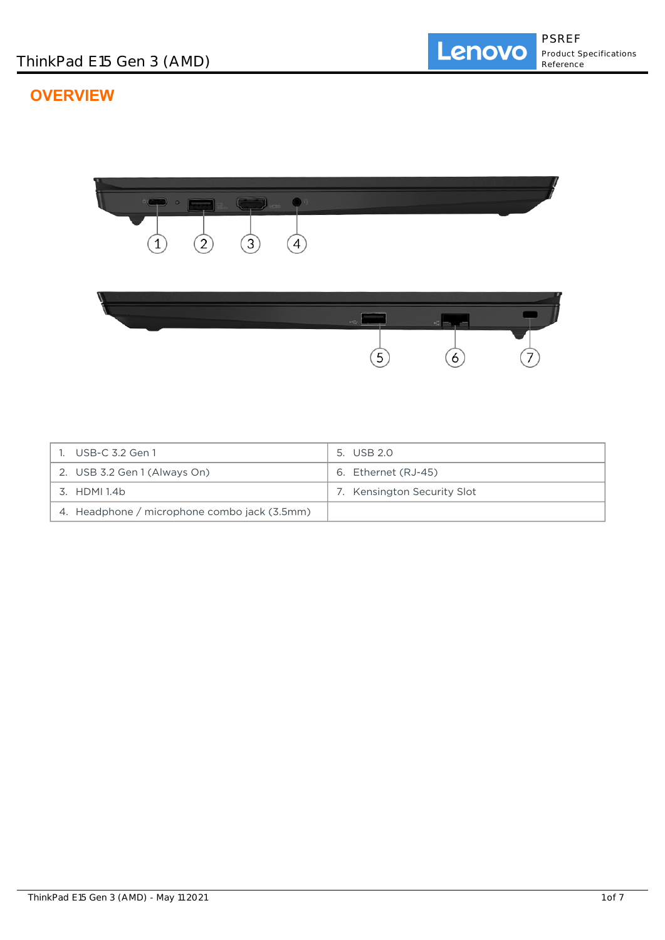# **OVERVIEW**



| USB-C 3.2 Gen 1                              | 5. USB 2.0                  |
|----------------------------------------------|-----------------------------|
| 2. USB 3.2 Gen 1 (Always On)                 | 6. Ethernet (RJ-45)         |
| 3. HDMI 1.4b                                 | 7. Kensington Security Slot |
| 4. Headphone / microphone combo jack (3.5mm) |                             |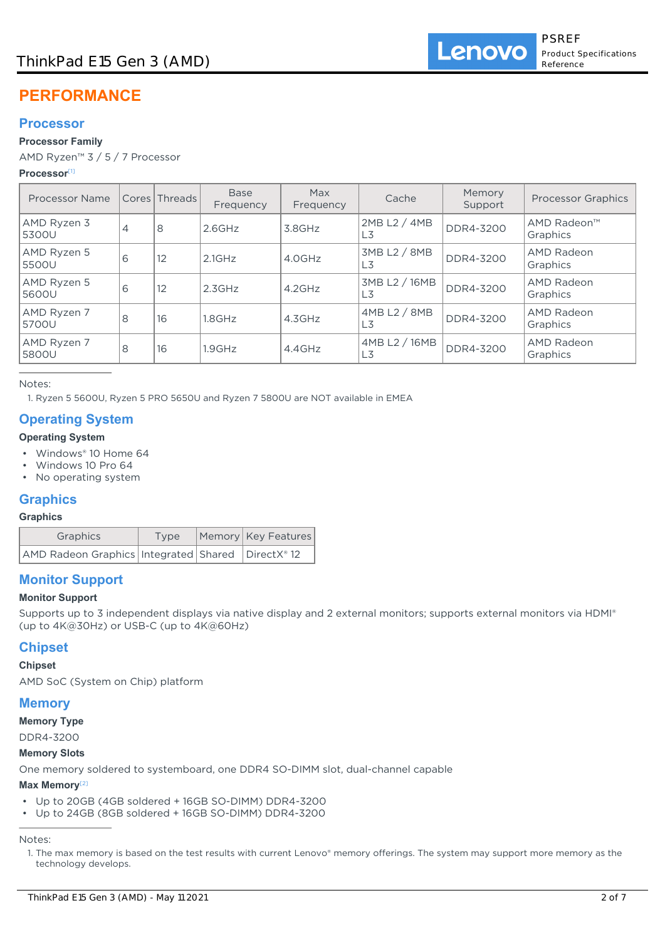# **PERFORMANCE**

# **Processor**

## **Processor Family**

AMD Ryzen™ 3 / 5 / 7 Processor

### **Processor**[1]

| Processor Name       |   | Cores Threads | <b>Base</b><br>Frequency | Max<br>Frequency | Cache                          | Memory<br>Support | <b>Processor Graphics</b>     |
|----------------------|---|---------------|--------------------------|------------------|--------------------------------|-------------------|-------------------------------|
| AMD Ryzen 3<br>5300U | 4 | 8             | $2.6$ GHz                | $3.8$ GHz        | 2MB L2 / 4MB<br>L <sub>3</sub> | DDR4-3200         | AMD Radeon™<br>Graphics       |
| AMD Ryzen 5<br>5500U | 6 | 12            | $2.1$ GHz                | 4.0GHz           | 3MB L2 / 8MB<br>L3             | DDR4-3200         | <b>AMD Radeon</b><br>Graphics |
| AMD Ryzen 5<br>5600U | 6 | 12            | 2.3GHz                   | $4.2$ GHz        | 3MB L2 / 16MB<br>L3            | DDR4-3200         | AMD Radeon<br>Graphics        |
| AMD Ryzen 7<br>5700U | 8 | 16            | 1.8GHz                   | 4.3GHz           | 4MB L2 / 8MB<br>L <sub>3</sub> | DDR4-3200         | AMD Radeon<br>Graphics        |
| AMD Ryzen 7<br>5800U | 8 | 16            | 1.9GHz                   | $4.4$ GHz        | 4MB L2 / 16MB<br>L3            | DDR4-3200         | AMD Radeon<br>Graphics        |

Notes:

1. Ryzen 5 5600U, Ryzen 5 PRO 5650U and Ryzen 7 5800U are NOT available in EMEA

# **Operating System**

# **Operating System**

- Windows® 10 Home 64
- Windows 10 Pro 64
- No operating system

# **Graphics**

## **Graphics**

| Graphics                                                | Type | Memory   Key Features |
|---------------------------------------------------------|------|-----------------------|
| AMD Radeon Graphics   Integrated   Shared   DirectX® 12 |      |                       |

# **Monitor Support**

## **Monitor Support**

Supports up to 3 independent displays via native display and 2 external monitors; supports external monitors via HDMI® (up to 4K@30Hz) or USB-C (up to 4K@60Hz)

# **Chipset**

## **Chipset**

AMD SoC (System on Chip) platform

## **Memory**

**Memory Type**

```
DDR4-3200
```
## **Memory Slots**

One memory soldered to systemboard, one DDR4 SO-DIMM slot, dual-channel capable

#### **Max Memory**[2]

- Up to 20GB (4GB soldered + 16GB SO-DIMM) DDR4-3200
- Up to 24GB (8GB soldered + 16GB SO-DIMM) DDR4-3200

Notes:

<sup>1.</sup> The max memory is based on the test results with current Lenovo® memory offerings. The system may support more memory as the technology develops.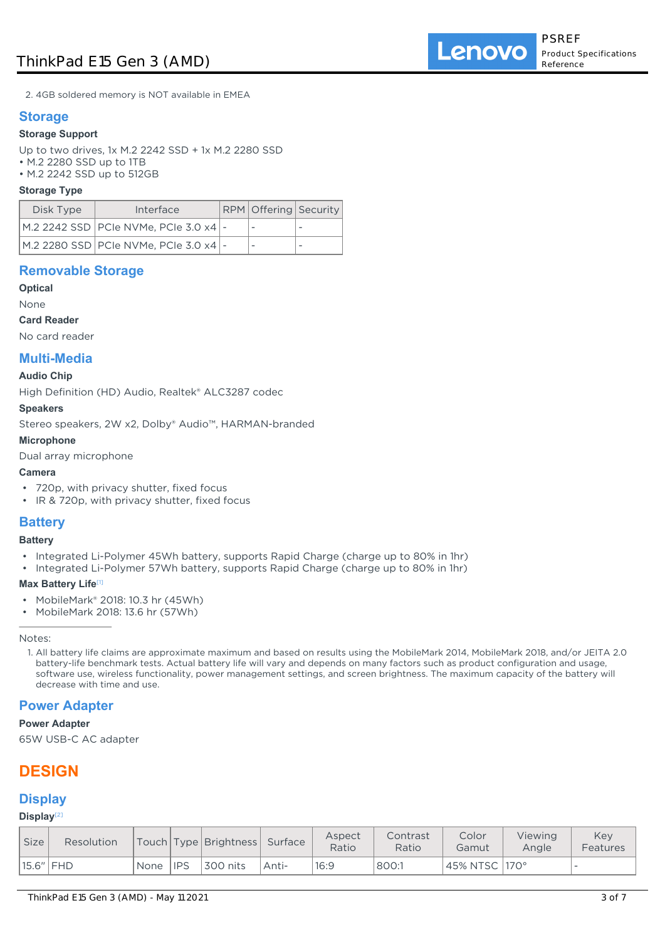2. 4GB soldered memory is NOT available in EMEA

## **Storage**

#### **Storage Support**

Up to two drives, 1x M.2 2242 SSD + 1x M.2 2280 SSD

- M.2 2280 SSD up to 1TB
- M.2 2242 SSD up to 512GB

#### **Storage Type**

| Disk Type | Interface                               | RPM Offering Security |  |
|-----------|-----------------------------------------|-----------------------|--|
|           | M.2 2242 SSD PCIe NVMe, PCIe 3.0 x4   - |                       |  |
|           | M.2 2280 SSD PCIe NVMe, PCIe 3.0 x4 -   |                       |  |

## **Removable Storage**

### **Optical**

None

#### **Card Reader**

No card reader

## **Multi-Media**

#### **Audio Chip**

High Definition (HD) Audio, Realtek® ALC3287 codec

#### **Speakers**

Stereo speakers, 2W x2, Dolby® Audio™, HARMAN-branded

#### **Microphone**

Dual array microphone

#### **Camera**

- 720p, with privacy shutter, fixed focus
- IR & 720p, with privacy shutter, fixed focus

# **Battery**

**Battery**

- Integrated Li-Polymer 45Wh battery, supports Rapid Charge (charge up to 80% in 1hr)
- Integrated Li-Polymer 57Wh battery, supports Rapid Charge (charge up to 80% in 1hr)

#### **Max Battery Life**[1]

- MobileMark® 2018: 10.3 hr (45Wh)
- MobileMark 2018: 13.6 hr (57Wh)

Notes:

1. All battery life claims are approximate maximum and based on results using the MobileMark 2014, MobileMark 2018, and/or JEITA 2.0 battery-life benchmark tests. Actual battery life will vary and depends on many factors such as product configuration and usage, software use, wireless functionality, power management settings, and screen brightness. The maximum capacity of the battery will decrease with time and use.

## **Power Adapter**

#### **Power Adapter**

65W USB-C AC adapter

# **DESIGN**

## **Display**

#### **Display**[2]

| <b>Size</b> | Resolution  |      |            | Touch   Type   Brightness   Surface |       | Aspect<br>Ratio | Contrast<br>Ratio | Color<br>Gamut  | Viewing<br>Angle | Kev<br>Features |
|-------------|-------------|------|------------|-------------------------------------|-------|-----------------|-------------------|-----------------|------------------|-----------------|
|             | $15.6"$ FHD | None | <b>IPS</b> | 300 nits                            | Anti- | 16:9            | 800:1             | 45% NTSC   170° |                  |                 |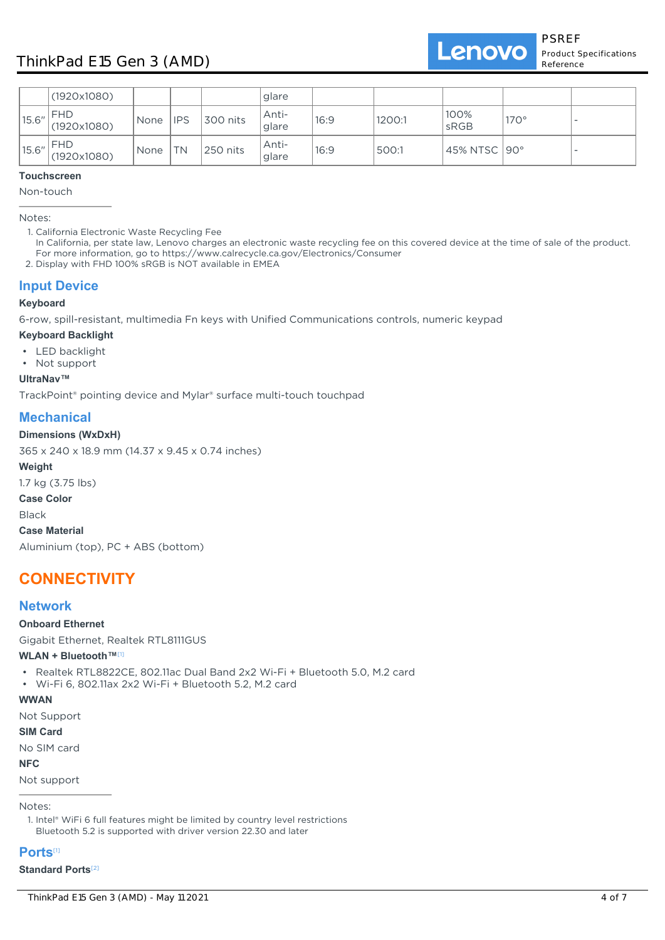

|       | (1920x1080)               |             |            |          | glare          |      |        |                |             |          |
|-------|---------------------------|-------------|------------|----------|----------------|------|--------|----------------|-------------|----------|
| 15.6" | <b>FHD</b><br>(1920x1080) | None        | <b>IPS</b> | 300 nits | Anti-<br>glare | 16:9 | 1200:1 | 100%<br>sRGB   | $170^\circ$ | --       |
| 15.6" | <b>FHD</b><br>(1920x1080) | <b>None</b> | TN         | 250 nits | Anti-<br>glare | 16:9 | 500:1  | 45% NTSC   90° |             | <b>.</b> |

### **Touchscreen**

Non-touch

Notes:

1. California Electronic Waste Recycling Fee

In California, per state law, Lenovo charges an electronic waste recycling fee on this covered device at the time of sale of the product. For more information, go to https://www.calrecycle.ca.gov/Electronics/Consumer

2. Display with FHD 100% sRGB is NOT available in EMEA

# **Input Device**

#### **Keyboard**

6-row, spill-resistant, multimedia Fn keys with Unified Communications controls, numeric keypad

#### **Keyboard Backlight**

- LED backlight
- Not support

**UltraNav™**

TrackPoint® pointing device and Mylar® surface multi-touch touchpad

# **Mechanical**

### **Dimensions (WxDxH)**

365 x 240 x 18.9 mm (14.37 x 9.45 x 0.74 inches)

**Weight**

1.7 kg (3.75 lbs)

**Case Color**

Black

**Case Material**

Aluminium (top), PC + ABS (bottom)

# **CONNECTIVITY**

# **Network**

#### **Onboard Ethernet**

Gigabit Ethernet, Realtek RTL8111GUS

#### **WLAN + Bluetooth™**[1]

- Realtek RTL8822CE, 802.11ac Dual Band 2x2 Wi-Fi + Bluetooth 5.0, M.2 card
- Wi-Fi 6, 802.11ax 2x2 Wi-Fi + Bluetooth 5.2, M.2 card

## **WWAN**

Not Support

## **SIM Card**

No SIM card

## **NFC**

Not support

## Notes:

1. Intel® WiFi 6 full features might be limited by country level restrictions Bluetooth 5.2 is supported with driver version 22.30 and later

## **Ports**[1]

#### **Standard Ports**[2]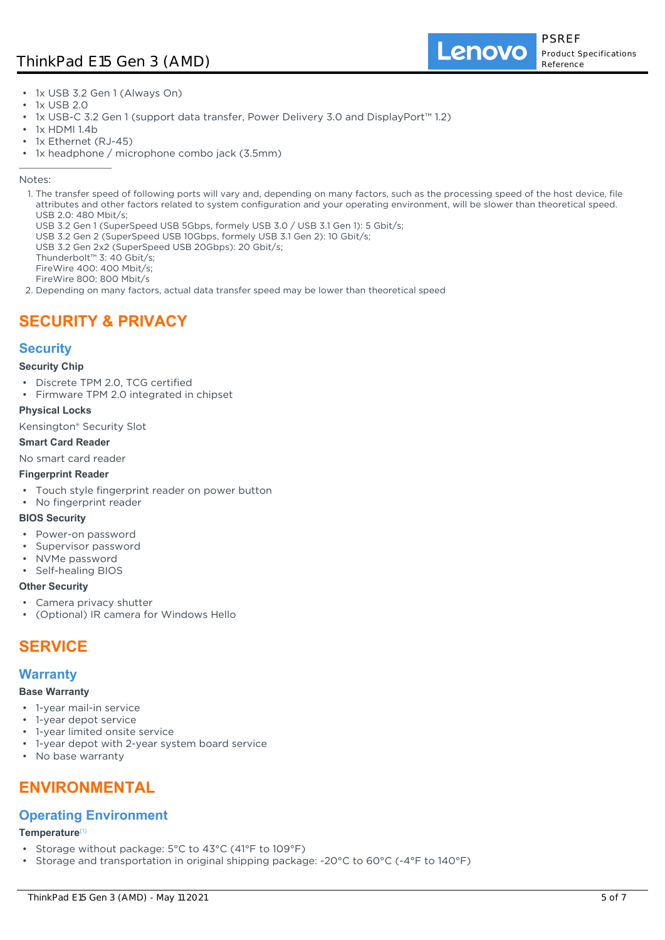# ThinkPad E15 Gen 3 (AMD)

Lenovo

- 1x USB 3.2 Gen 1 (Always On)
- 1x USB 2.0
- 1x USB-C 3.2 Gen 1 (support data transfer, Power Delivery 3.0 and DisplayPort™ 1.2)
- $\cdot$  1x HDMI 1.4b
- 1x Ethernet (RJ-45)
- 1x headphone / microphone combo jack (3.5mm)

#### Notes:

- 1. The transfer speed of following ports will vary and, depending on many factors, such as the processing speed of the host device, file attributes and other factors related to system configuration and your operating environment, will be slower than theoretical speed. USB 2.0: 480 Mbit/s;
	- USB 3.2 Gen 1 (SuperSpeed USB 5Gbps, formely USB 3.0 / USB 3.1 Gen 1): 5 Gbit/s;
	- USB 3.2 Gen 2 (SuperSpeed USB 10Gbps, formely USB 3.1 Gen 2): 10 Gbit/s;
	- USB 3.2 Gen 2x2 (SuperSpeed USB 20Gbps): 20 Gbit/s;
	- Thunderbolt™ 3: 40 Gbit/s;

FireWire 400: 400 Mbit/s;

- FireWire 800: 800 Mbit/s
- 2. Depending on many factors, actual data transfer speed may be lower than theoretical speed

# **SECURITY & PRIVACY**

# **Security**

#### **Security Chip**

- Discrete TPM 2.0, TCG certified
- Firmware TPM 2.0 integrated in chipset

#### **Physical Locks**

Kensington® Security Slot

#### **Smart Card Reader**

No smart card reader

#### **Fingerprint Reader**

- Touch style fingerprint reader on power button
- No fingerprint reader

#### **BIOS Security**

- Power-on password
- Supervisor password
- NVMe password
- Self-healing BIOS

#### **Other Security**

- Camera privacy shutter
- (Optional) IR camera for Windows Hello

# **SERVICE**

## **Warranty**

#### **Base Warranty**

- 1-year mail-in service
- 1-year depot service
- 1-year limited onsite service
- 1-year depot with 2-year system board service
- No base warranty

# **ENVIRONMENTAL**

## **Operating Environment**

#### **Temperature**[1]

- Storage without package: 5°C to 43°C (41°F to 109°F)
- Storage and transportation in original shipping package: -20°C to 60°C (-4°F to 140°F)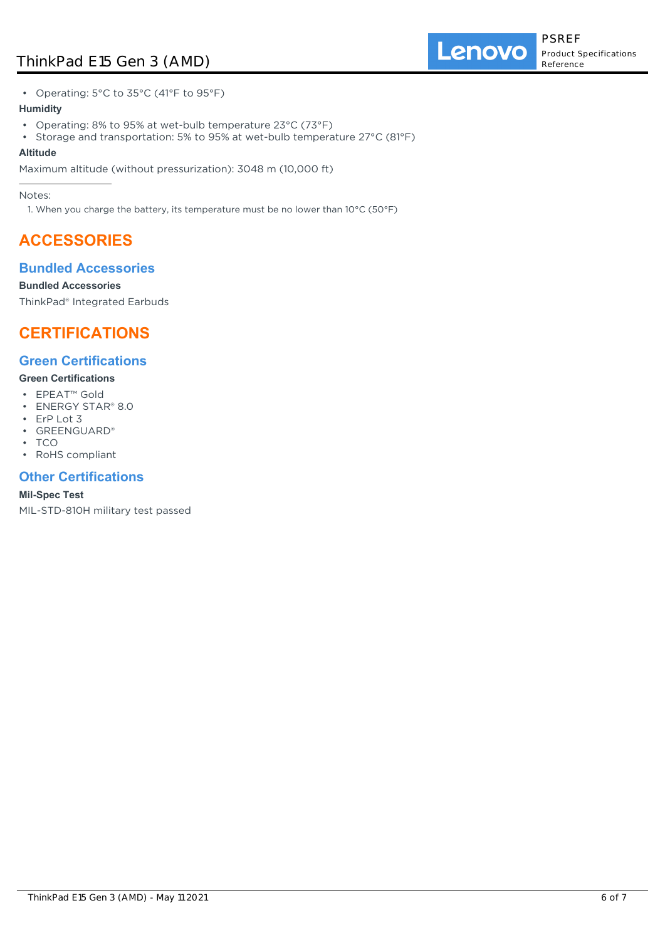# ThinkPad E15 Gen 3 (AMD)

**Lenovo** 

• Operating: 5°C to 35°C (41°F to 95°F)

### **Humidity**

- Operating: 8% to 95% at wet-bulb temperature 23°C (73°F)
- Storage and transportation: 5% to 95% at wet-bulb temperature 27°C (81°F) **Altitude**

## Maximum altitude (without pressurization): 3048 m (10,000 ft)

Notes:

1. When you charge the battery, its temperature must be no lower than 10°C (50°F)

# **ACCESSORIES**

# **Bundled Accessories**

## **Bundled Accessories**

ThinkPad® Integrated Earbuds

# **CERTIFICATIONS**

# **Green Certifications**

### **Green Certifications**

- EPEAT™ Gold
- ENERGY STAR® 8.0
- ErP Lot 3
- GREENGUARD®
- TCO
- RoHS compliant

# **Other Certifications**

## **Mil-Spec Test**

MIL-STD-810H military test passed